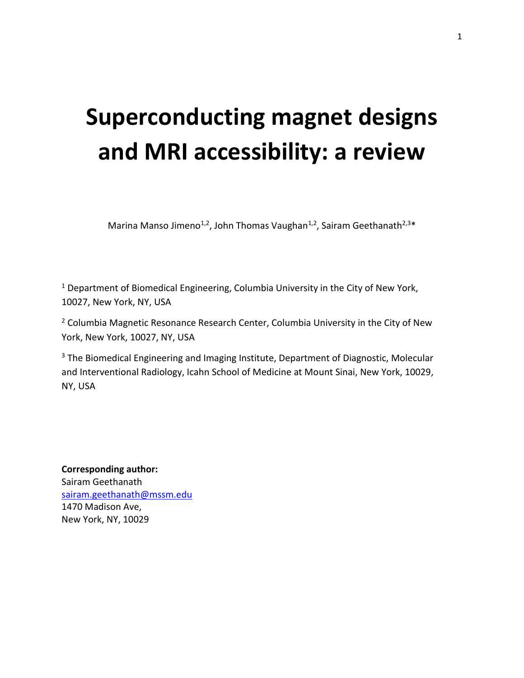# **Superconducting magnet designs and MRI accessibility: a review**

Marina Manso Jimeno<sup>1,2</sup>, John Thomas Vaughan<sup>1,2</sup>, Sairam Geethanath<sup>2,3\*</sup>

 $1$  Department of Biomedical Engineering, Columbia University in the City of New York, 10027, New York, NY, USA

<sup>2</sup> Columbia Magnetic Resonance Research Center, Columbia University in the City of New York, New York, 10027, NY, USA

<sup>3</sup> The Biomedical Engineering and Imaging Institute, Department of Diagnostic, Molecular and Interventional Radiology, Icahn School of Medicine at Mount Sinai, New York, 10029, NY, USA

**Corresponding author:** Sairam Geethanath [sairam.geethanath@mssm.edu](mailto:sairam.geethanath@mssm.edu) 1470 Madison Ave, New York, NY, 10029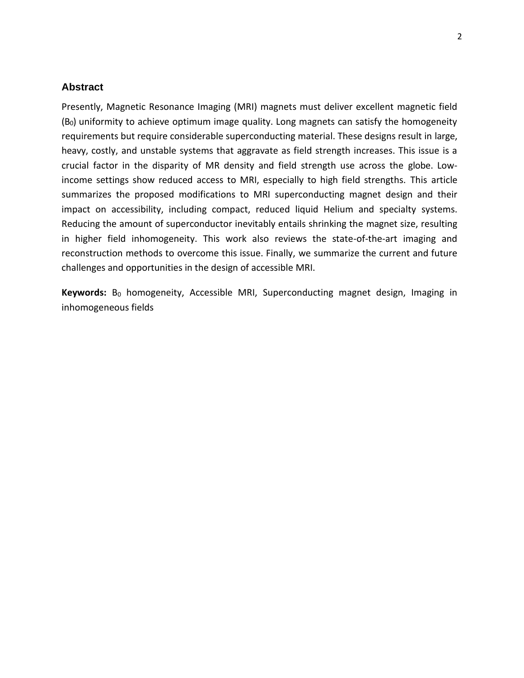#### **Abstract**

Presently, Magnetic Resonance Imaging (MRI) magnets must deliver excellent magnetic field (B0) uniformity to achieve optimum image quality. Long magnets can satisfy the homogeneity requirements but require considerable superconducting material. These designs result in large, heavy, costly, and unstable systems that aggravate as field strength increases. This issue is a crucial factor in the disparity of MR density and field strength use across the globe. Lowincome settings show reduced access to MRI, especially to high field strengths. This article summarizes the proposed modifications to MRI superconducting magnet design and their impact on accessibility, including compact, reduced liquid Helium and specialty systems. Reducing the amount of superconductor inevitably entails shrinking the magnet size, resulting in higher field inhomogeneity. This work also reviews the state-of-the-art imaging and reconstruction methods to overcome this issue. Finally, we summarize the current and future challenges and opportunities in the design of accessible MRI.

Keywords: B<sub>0</sub> homogeneity, Accessible MRI, Superconducting magnet design, Imaging in inhomogeneous fields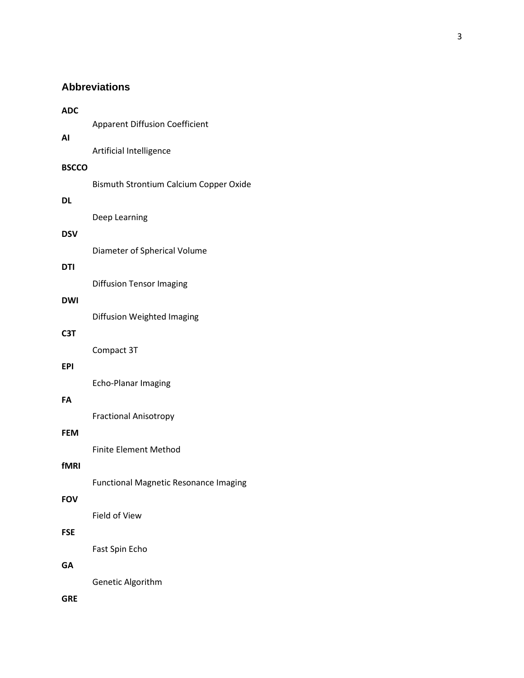# **Abbreviations**

| <b>ADC</b>       | <b>Apparent Diffusion Coefficient</b>        |  |  |
|------------------|----------------------------------------------|--|--|
| AI               |                                              |  |  |
| <b>BSCCO</b>     | Artificial Intelligence                      |  |  |
|                  | Bismuth Strontium Calcium Copper Oxide       |  |  |
| <b>DL</b>        | Deep Learning                                |  |  |
| <b>DSV</b>       |                                              |  |  |
| <b>DTI</b>       | Diameter of Spherical Volume                 |  |  |
|                  | <b>Diffusion Tensor Imaging</b>              |  |  |
| <b>DWI</b>       | Diffusion Weighted Imaging                   |  |  |
| C <sub>3</sub> T |                                              |  |  |
| EPI              | Compact 3T                                   |  |  |
|                  | Echo-Planar Imaging                          |  |  |
| FA               | <b>Fractional Anisotropy</b>                 |  |  |
| <b>FEM</b>       |                                              |  |  |
| fMRI             | <b>Finite Element Method</b>                 |  |  |
|                  | <b>Functional Magnetic Resonance Imaging</b> |  |  |
| <b>FOV</b>       | Field of View                                |  |  |
| <b>FSE</b>       |                                              |  |  |
| GA               | Fast Spin Echo                               |  |  |
|                  | Genetic Algorithm                            |  |  |
| GRE              |                                              |  |  |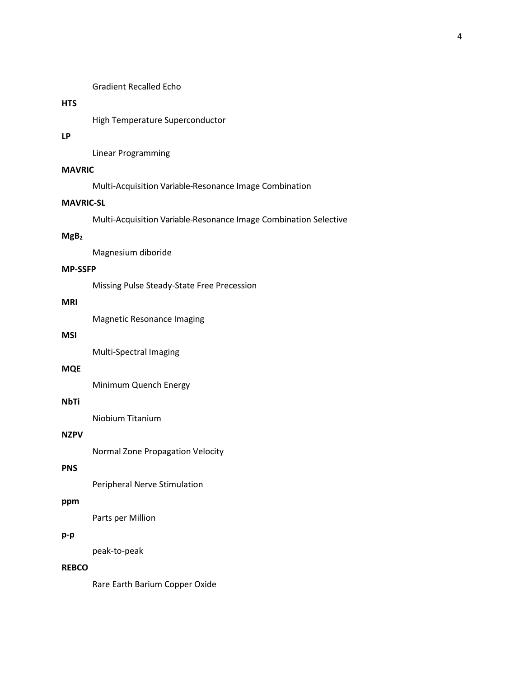Gradient Recalled Echo

#### **HTS**

High Temperature Superconductor

## **LP**

Linear Programming

## **MAVRIC**

Multi-Acquisition Variable-Resonance Image Combination

## **MAVRIC-SL**

Multi-Acquisition Variable-Resonance Image Combination Selective

#### **MgB<sup>2</sup>**

Magnesium diboride

#### **MP-SSFP**

Missing Pulse Steady-State Free Precession

## **MRI**

Magnetic Resonance Imaging

#### **MSI**

Multi-Spectral Imaging

#### **MQE**

Minimum Quench Energy

## **NbTi**

Niobium Titanium

#### **NZPV**

Normal Zone Propagation Velocity

#### **PNS**

Peripheral Nerve Stimulation

#### **ppm**

Parts per Million

#### **p-p**

peak-to-peak

#### **REBCO**

Rare Earth Barium Copper Oxide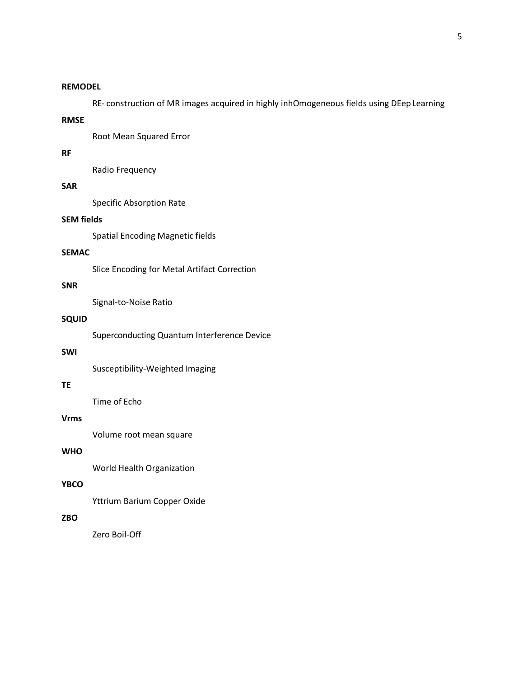#### **REMODEL**

RE- construction of MR images acquired in highly inhOmogeneous fields using DEep Learning

## **RMSE**

Root Mean Squared Error

## **RF**

Radio Frequency

#### **SAR**

Specific Absorption Rate

## **SEM fields**

Spatial Encoding Magnetic fields

## **SEMAC**

Slice Encoding for Metal Artifact Correction

#### **SNR**

Signal-to-Noise Ratio

## **SQUID**

Superconducting Quantum Interference Device

#### **SWI**

Susceptibility-Weighted Imaging

#### **TE**

Time of Echo

#### **Vrms**

Volume root mean square

#### **WHO**

World Health Organization

#### **YBCO**

Yttrium Barium Copper Oxide

## **ZBO**

Zero Boil-Off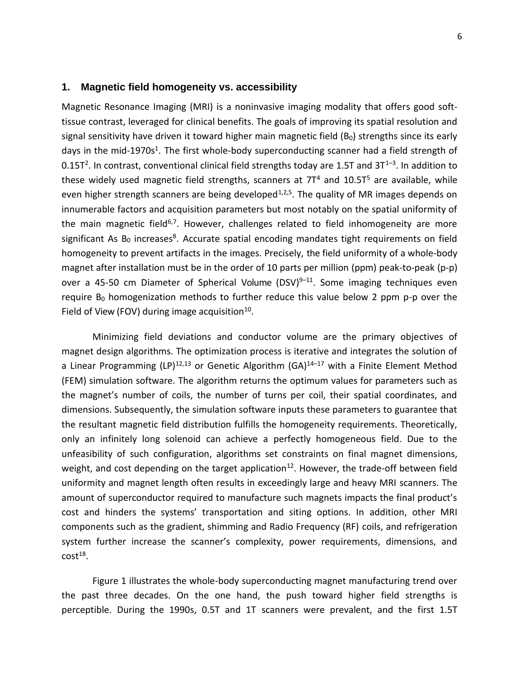## **1. Magnetic field homogeneity vs. accessibility**

Magnetic Resonance Imaging (MRI) is a noninvasive imaging modality that offers good softtissue contrast, leveraged for clinical benefits. The goals of improving its spatial resolution and signal sensitivity have driven it toward higher main magnetic field  $(B_0)$  strengths since its early days in the mid-1970s<sup>1</sup>. The first whole-body superconducting scanner had a field strength of 0.15T<sup>2</sup>. In contrast, conventional clinical field strengths today are 1.5T and 3T<sup>1-3</sup>. In addition to these widely used magnetic field strengths, scanners at  $7T<sup>4</sup>$  and  $10.5T<sup>5</sup>$  are available, while even higher strength scanners are being developed<sup>1,2,5</sup>. The quality of MR images depends on innumerable factors and acquisition parameters but most notably on the spatial uniformity of the main magnetic field<sup>6,7</sup>. However, challenges related to field inhomogeneity are more significant As  $B_0$  increases<sup>8</sup>. Accurate spatial encoding mandates tight requirements on field homogeneity to prevent artifacts in the images. Precisely, the field uniformity of a whole-body magnet after installation must be in the order of 10 parts per million (ppm) peak-to-peak (p-p) over a 45-50 cm Diameter of Spherical Volume (DSV) $9-11$ . Some imaging techniques even require  $B_0$  homogenization methods to further reduce this value below 2 ppm p-p over the Field of View (FOV) during image acquisition<sup>10</sup>.

Minimizing field deviations and conductor volume are the primary objectives of magnet design algorithms. The optimization process is iterative and integrates the solution of a Linear Programming (LP)<sup>12,13</sup> or Genetic Algorithm (GA)<sup>14-17</sup> with a Finite Element Method (FEM) simulation software. The algorithm returns the optimum values for parameters such as the magnet's number of coils, the number of turns per coil, their spatial coordinates, and dimensions. Subsequently, the simulation software inputs these parameters to guarantee that the resultant magnetic field distribution fulfills the homogeneity requirements. Theoretically, only an infinitely long solenoid can achieve a perfectly homogeneous field. Due to the unfeasibility of such configuration, algorithms set constraints on final magnet dimensions, weight, and cost depending on the target application<sup>12</sup>. However, the trade-off between field uniformity and magnet length often results in exceedingly large and heavy MRI scanners. The amount of superconductor required to manufacture such magnets impacts the final product's cost and hinders the systems' transportation and siting options. In addition, other MRI components such as the gradient, shimming and Radio Frequency (RF) coils, and refrigeration system further increase the scanner's complexity, power requirements, dimensions, and  $\cot^{18}$ .

Figure 1 illustrates the whole-body superconducting magnet manufacturing trend over the past three decades. On the one hand, the push toward higher field strengths is perceptible. During the 1990s, 0.5T and 1T scanners were prevalent, and the first 1.5T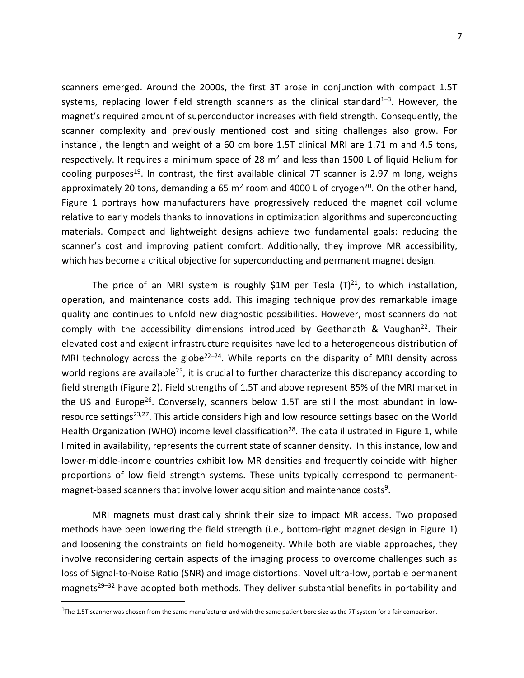scanners emerged. Around the 2000s, the first 3T arose in conjunction with compact 1.5T systems, replacing lower field strength scanners as the clinical standard<sup>1-3</sup>. However, the magnet's required amount of superconductor increases with field strength. Consequently, the scanner complexity and previously mentioned cost and siting challenges also grow. For instance<sup>1</sup>, the length and weight of a 60 cm bore 1.5T clinical MRI are 1.71 m and 4.5 tons, respectively. It requires a minimum space of 28  $m<sup>2</sup>$  and less than 1500 L of liquid Helium for cooling purposes<sup>19</sup>. In contrast, the first available clinical 7T scanner is 2.97 m long, weighs approximately 20 tons, demanding a 65 m<sup>2</sup> room and 4000 L of cryogen<sup>20</sup>. On the other hand, Figure 1 portrays how manufacturers have progressively reduced the magnet coil volume relative to early models thanks to innovations in optimization algorithms and superconducting materials. Compact and lightweight designs achieve two fundamental goals: reducing the scanner's cost and improving patient comfort. Additionally, they improve MR accessibility, which has become a critical objective for superconducting and permanent magnet design.

The price of an MRI system is roughly \$1M per Tesla  $(T)^{21}$ , to which installation, operation, and maintenance costs add. This imaging technique provides remarkable image quality and continues to unfold new diagnostic possibilities. However, most scanners do not comply with the accessibility dimensions introduced by Geethanath & Vaughan<sup>22</sup>. Their elevated cost and exigent infrastructure requisites have led to a heterogeneous distribution of MRI technology across the globe<sup>22-24</sup>. While reports on the disparity of MRI density across world regions are available<sup>25</sup>, it is crucial to further characterize this discrepancy according to field strength (Figure 2). Field strengths of 1.5T and above represent 85% of the MRI market in the US and Europe<sup>26</sup>. Conversely, scanners below 1.5T are still the most abundant in lowresource settings<sup>23,27</sup>. This article considers high and low resource settings based on the World Health Organization (WHO) income level classification<sup>28</sup>. The data illustrated in Figure 1, while limited in availability, represents the current state of scanner density. In this instance, low and lower-middle-income countries exhibit low MR densities and frequently coincide with higher proportions of low field strength systems. These units typically correspond to permanentmagnet-based scanners that involve lower acquisition and maintenance costs<sup>9</sup>.

MRI magnets must drastically shrink their size to impact MR access. Two proposed methods have been lowering the field strength (i.e., bottom-right magnet design in Figure 1) and loosening the constraints on field homogeneity. While both are viable approaches, they involve reconsidering certain aspects of the imaging process to overcome challenges such as loss of Signal-to-Noise Ratio (SNR) and image distortions. Novel ultra-low, portable permanent magnets<sup>29–32</sup> have adopted both methods. They deliver substantial benefits in portability and

<sup>&</sup>lt;sup>1</sup>The 1.5T scanner was chosen from the same manufacturer and with the same patient bore size as the 7T system for a fair comparison.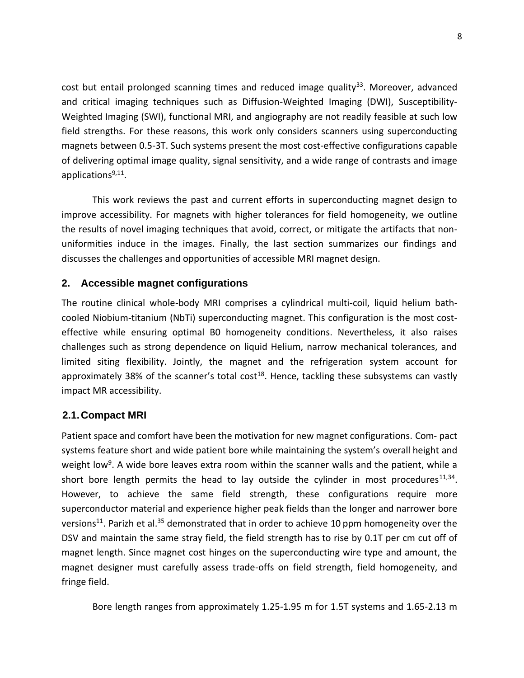cost but entail prolonged scanning times and reduced image quality<sup>33</sup>. Moreover, advanced and critical imaging techniques such as Diffusion-Weighted Imaging (DWI), Susceptibility-Weighted Imaging (SWI), functional MRI, and angiography are not readily feasible at such low field strengths. For these reasons, this work only considers scanners using superconducting magnets between 0.5-3T. Such systems present the most cost-effective configurations capable of delivering optimal image quality, signal sensitivity, and a wide range of contrasts and image applications<sup>9,11</sup>.

This work reviews the past and current efforts in superconducting magnet design to improve accessibility. For magnets with higher tolerances for field homogeneity, we outline the results of novel imaging techniques that avoid, correct, or mitigate the artifacts that nonuniformities induce in the images. Finally, the last section summarizes our findings and discusses the challenges and opportunities of accessible MRI magnet design.

## **2. Accessible magnet configurations**

The routine clinical whole-body MRI comprises a cylindrical multi-coil, liquid helium bathcooled Niobium-titanium (NbTi) superconducting magnet. This configuration is the most costeffective while ensuring optimal B0 homogeneity conditions. Nevertheless, it also raises challenges such as strong dependence on liquid Helium, narrow mechanical tolerances, and limited siting flexibility. Jointly, the magnet and the refrigeration system account for approximately 38% of the scanner's total cost<sup>18</sup>. Hence, tackling these subsystems can vastly impact MR accessibility.

## **2.1.Compact MRI**

Patient space and comfort have been the motivation for new magnet configurations. Com- pact systems feature short and wide patient bore while maintaining the system's overall height and weight low<sup>9</sup>. A wide bore leaves extra room within the scanner walls and the patient, while a short bore length permits the head to lay outside the cylinder in most procedures $^{11,34}$ . However, to achieve the same field strength, these configurations require more superconductor material and experience higher peak fields than the longer and narrower bore versions<sup>11</sup>. Parizh et al.<sup>35</sup> demonstrated that in order to achieve 10 ppm homogeneity over the DSV and maintain the same stray field, the field strength has to rise by 0.1T per cm cut off of magnet length. Since magnet cost hinges on the superconducting wire type and amount, the magnet designer must carefully assess trade-offs on field strength, field homogeneity, and fringe field.

Bore length ranges from approximately 1.25-1.95 m for 1.5T systems and 1.65-2.13 m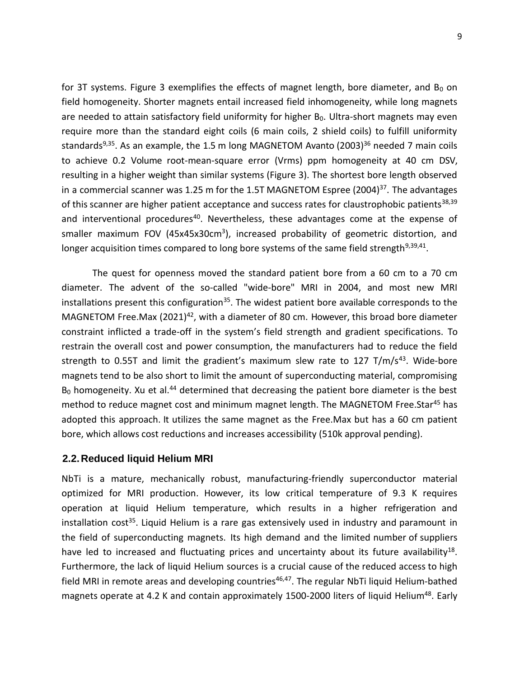for 3T systems. Figure 3 exemplifies the effects of magnet length, bore diameter, and  $B_0$  on field homogeneity. Shorter magnets entail increased field inhomogeneity, while long magnets are needed to attain satisfactory field uniformity for higher  $B_0$ . Ultra-short magnets may even require more than the standard eight coils (6 main coils, 2 shield coils) to fulfill uniformity standards<sup>9,35</sup>. As an example, the 1.5 m long MAGNETOM Avanto (2003)<sup>36</sup> needed 7 main coils to achieve 0.2 Volume root-mean-square error (Vrms) ppm homogeneity at 40 cm DSV, resulting in a higher weight than similar systems (Figure 3). The shortest bore length observed in a commercial scanner was 1.25 m for the 1.5T MAGNETOM Espree (2004)<sup>37</sup>. The advantages of this scanner are higher patient acceptance and success rates for claustrophobic patients<sup>38,39</sup> and interventional procedures<sup>40</sup>. Nevertheless, these advantages come at the expense of smaller maximum FOV (45x45x30cm<sup>3</sup>), increased probability of geometric distortion, and longer acquisition times compared to long bore systems of the same field strength<sup>9,39,41</sup>.

The quest for openness moved the standard patient bore from a 60 cm to a 70 cm diameter. The advent of the so-called "wide-bore" MRI in 2004, and most new MRI installations present this configuration<sup>35</sup>. The widest patient bore available corresponds to the MAGNETOM Free.Max (2021)<sup>42</sup>, with a diameter of 80 cm. However, this broad bore diameter constraint inflicted a trade-off in the system's field strength and gradient specifications. To restrain the overall cost and power consumption, the manufacturers had to reduce the field strength to 0.55T and limit the gradient's maximum slew rate to 127 T/m/s<sup>43</sup>. Wide-bore magnets tend to be also short to limit the amount of superconducting material, compromising  $B_0$  homogeneity. Xu et al.<sup>44</sup> determined that decreasing the patient bore diameter is the best method to reduce magnet cost and minimum magnet length. The MAGNETOM Free.Star<sup>45</sup> has adopted this approach. It utilizes the same magnet as the Free.Max but has a 60 cm patient bore, which allows cost reductions and increases accessibility (510k approval pending).

## **2.2.Reduced liquid Helium MRI**

NbTi is a mature, mechanically robust, manufacturing-friendly superconductor material optimized for MRI production. However, its low critical temperature of 9.3 K requires operation at liquid Helium temperature, which results in a higher refrigeration and installation cost<sup>35</sup>. Liquid Helium is a rare gas extensively used in industry and paramount in the field of superconducting magnets. Its high demand and the limited number of suppliers have led to increased and fluctuating prices and uncertainty about its future availability<sup>18</sup>. Furthermore, the lack of liquid Helium sources is a crucial cause of the reduced access to high field MRI in remote areas and developing countries<sup>46,47</sup>. The regular NbTi liquid Helium-bathed magnets operate at 4.2 K and contain approximately 1500-2000 liters of liquid Helium<sup>48</sup>. Early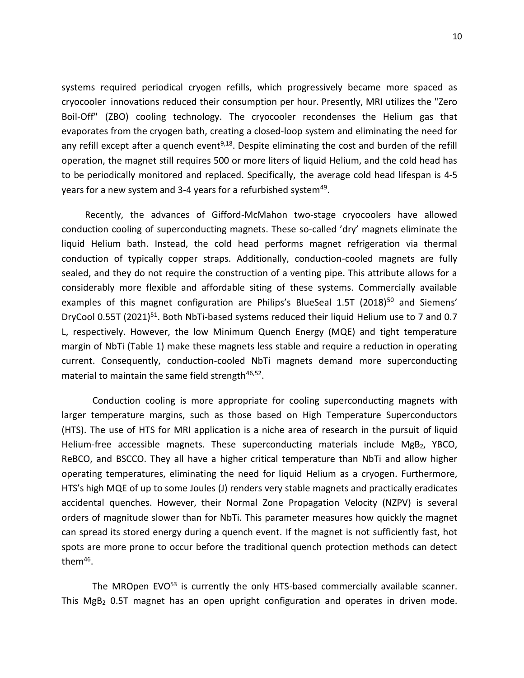systems required periodical cryogen refills, which progressively became more spaced as cryocooler innovations reduced their consumption per hour. Presently, MRI utilizes the "Zero Boil-Off" (ZBO) cooling technology. The cryocooler recondenses the Helium gas that evaporates from the cryogen bath, creating a closed-loop system and eliminating the need for any refill except after a quench event<sup>9,18</sup>. Despite eliminating the cost and burden of the refill operation, the magnet still requires 500 or more liters of liquid Helium, and the cold head has to be periodically monitored and replaced. Specifically, the average cold head lifespan is 4-5 years for a new system and 3-4 years for a refurbished system<sup>49</sup>.

Recently, the advances of Gifford-McMahon two-stage cryocoolers have allowed conduction cooling of superconducting magnets. These so-called 'dry' magnets eliminate the liquid Helium bath. Instead, the cold head performs magnet refrigeration via thermal conduction of typically copper straps. Additionally, conduction-cooled magnets are fully sealed, and they do not require the construction of a venting pipe. This attribute allows for a considerably more flexible and affordable siting of these systems. Commercially available examples of this magnet configuration are Philips's BlueSeal 1.5T (2018)<sup>50</sup> and Siemens' DryCool 0.55T (2021)<sup>51</sup>. Both NbTi-based systems reduced their liquid Helium use to 7 and 0.7 L, respectively. However, the low Minimum Quench Energy (MQE) and tight temperature margin of NbTi (Table 1) make these magnets less stable and require a reduction in operating current. Consequently, conduction-cooled NbTi magnets demand more superconducting material to maintain the same field strength<sup>46,52</sup>.

Conduction cooling is more appropriate for cooling superconducting magnets with larger temperature margins, such as those based on High Temperature Superconductors (HTS). The use of HTS for MRI application is a niche area of research in the pursuit of liquid Helium-free accessible magnets. These superconducting materials include MgB<sub>2</sub>, YBCO, ReBCO, and BSCCO. They all have a higher critical temperature than NbTi and allow higher operating temperatures, eliminating the need for liquid Helium as a cryogen. Furthermore, HTS's high MQE of up to some Joules (J) renders very stable magnets and practically eradicates accidental quenches. However, their Normal Zone Propagation Velocity (NZPV) is several orders of magnitude slower than for NbTi. This parameter measures how quickly the magnet can spread its stored energy during a quench event. If the magnet is not sufficiently fast, hot spots are more prone to occur before the traditional quench protection methods can detect them $46$ .

The MROpen EVO<sup>53</sup> is currently the only HTS-based commercially available scanner. This MgB<sub>2</sub> 0.5T magnet has an open upright configuration and operates in driven mode.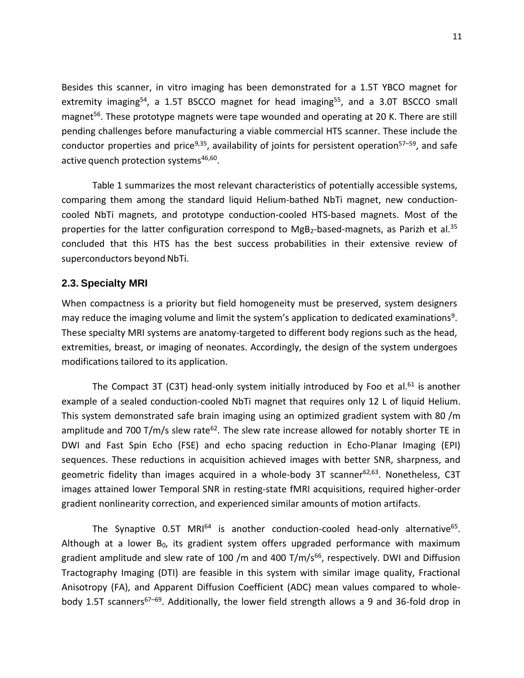Besides this scanner, in vitro imaging has been demonstrated for a 1.5T YBCO magnet for extremity imaging<sup>54</sup>, a 1.5T BSCCO magnet for head imaging<sup>55</sup>, and a 3.0T BSCCO small magnet<sup>56</sup>. These prototype magnets were tape wounded and operating at 20 K. There are still pending challenges before manufacturing a viable commercial HTS scanner. These include the conductor properties and price<sup>9,35</sup>, availability of joints for persistent operation<sup>57–59</sup>, and safe active quench protection systems<sup>46,60</sup>.

Table 1 summarizes the most relevant characteristics of potentially accessible systems, comparing them among the standard liquid Helium-bathed NbTi magnet, new conductioncooled NbTi magnets, and prototype conduction-cooled HTS-based magnets. Most of the properties for the latter configuration correspond to  $MgB_2$ -based-magnets, as Parizh et al.<sup>35</sup> concluded that this HTS has the best success probabilities in their extensive review of superconductors beyond NbTi.

## **2.3. Specialty MRI**

When compactness is a priority but field homogeneity must be preserved, system designers may reduce the imaging volume and limit the system's application to dedicated examinations<sup>9</sup>. These specialty MRI systems are anatomy-targeted to different body regions such as the head, extremities, breast, or imaging of neonates. Accordingly, the design of the system undergoes modifications tailored to its application.

The Compact 3T (C3T) head-only system initially introduced by Foo et al. $^{61}$  is another example of a sealed conduction-cooled NbTi magnet that requires only 12 L of liquid Helium. This system demonstrated safe brain imaging using an optimized gradient system with 80 /m amplitude and 700 T/m/s slew rate<sup>62</sup>. The slew rate increase allowed for notably shorter TE in DWI and Fast Spin Echo (FSE) and echo spacing reduction in Echo-Planar Imaging (EPI) sequences. These reductions in acquisition achieved images with better SNR, sharpness, and geometric fidelity than images acquired in a whole-body 3T scanner<sup>62,63</sup>. Nonetheless, C3T images attained lower Temporal SNR in resting-state fMRI acquisitions, required higher-order gradient nonlinearity correction, and experienced similar amounts of motion artifacts.

The Synaptive 0.5T MRI $^{64}$  is another conduction-cooled head-only alternative<sup>65</sup>. Although at a lower B<sub>0</sub>, its gradient system offers upgraded performance with maximum gradient amplitude and slew rate of 100 /m and 400 T/m/s<sup>66</sup>, respectively. DWI and Diffusion Tractography Imaging (DTI) are feasible in this system with similar image quality, Fractional Anisotropy (FA), and Apparent Diffusion Coefficient (ADC) mean values compared to wholebody 1.5T scanners<sup>67–69</sup>. Additionally, the lower field strength allows a 9 and 36-fold drop in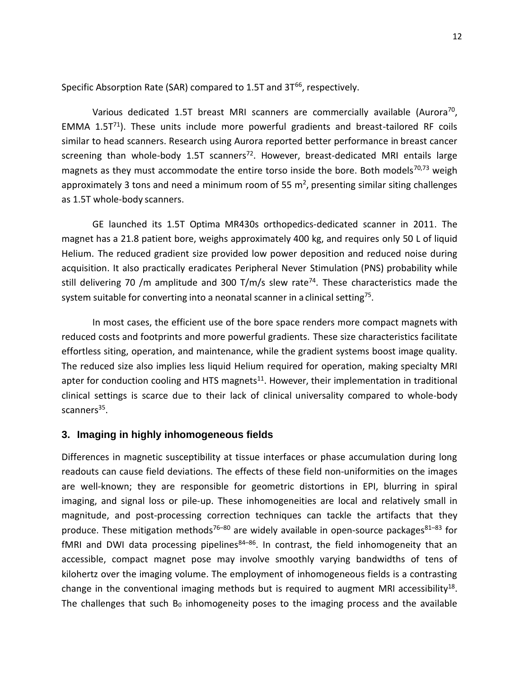Specific Absorption Rate (SAR) compared to 1.5T and 3T<sup>66</sup>, respectively.

Various dedicated 1.5T breast MRI scanners are commercially available (Aurora<sup>70</sup>, EMMA  $1.5T<sup>71</sup>$ ). These units include more powerful gradients and breast-tailored RF coils similar to head scanners. Research using Aurora reported better performance in breast cancer screening than whole-body 1.5T scanners<sup>72</sup>. However, breast-dedicated MRI entails large magnets as they must accommodate the entire torso inside the bore. Both models<sup>70,73</sup> weigh approximately 3 tons and need a minimum room of 55 m<sup>2</sup>, presenting similar siting challenges as 1.5T whole-body scanners.

GE launched its 1.5T Optima MR430s orthopedics-dedicated scanner in 2011. The magnet has a 21.8 patient bore, weighs approximately 400 kg, and requires only 50 L of liquid Helium. The reduced gradient size provided low power deposition and reduced noise during acquisition. It also practically eradicates Peripheral Never Stimulation (PNS) probability while still delivering 70 /m amplitude and 300 T/m/s slew rate<sup>74</sup>. These characteristics made the system suitable for converting into a neonatal scanner in a clinical setting<sup>75</sup>.

In most cases, the efficient use of the bore space renders more compact magnets with reduced costs and footprints and more powerful gradients. These size characteristics facilitate effortless siting, operation, and maintenance, while the gradient systems boost image quality. The reduced size also implies less liquid Helium required for operation, making specialty MRI apter for conduction cooling and HTS magnets<sup>11</sup>. However, their implementation in traditional clinical settings is scarce due to their lack of clinical universality compared to whole-body scanners<sup>35</sup>.

## **3. Imaging in highly inhomogeneous fields**

Differences in magnetic susceptibility at tissue interfaces or phase accumulation during long readouts can cause field deviations. The effects of these field non-uniformities on the images are well-known; they are responsible for geometric distortions in EPI, blurring in spiral imaging, and signal loss or pile-up. These inhomogeneities are local and relatively small in magnitude, and post-processing correction techniques can tackle the artifacts that they produce. These mitigation methods<sup>76–80</sup> are widely available in open-source packages<sup>81–83</sup> for fMRI and DWI data processing pipelines<sup>84-86</sup>. In contrast, the field inhomogeneity that an accessible, compact magnet pose may involve smoothly varying bandwidths of tens of kilohertz over the imaging volume. The employment of inhomogeneous fields is a contrasting change in the conventional imaging methods but is required to augment MRI accessibility<sup>18</sup>. The challenges that such  $B_0$  inhomogeneity poses to the imaging process and the available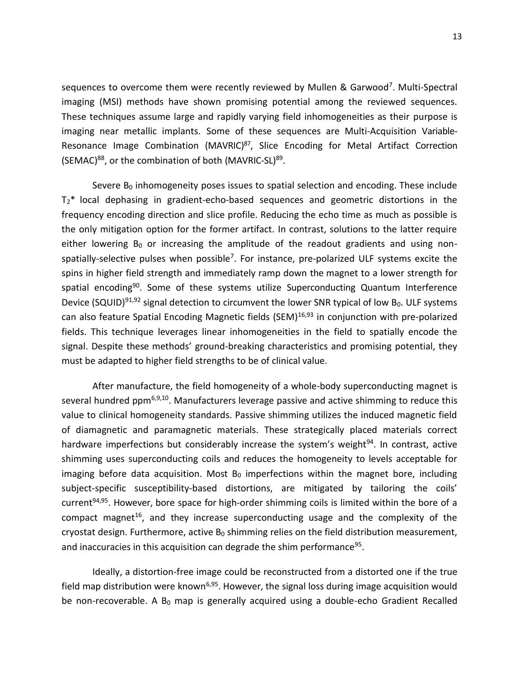sequences to overcome them were recently reviewed by Mullen & Garwood<sup>7</sup>. Multi-Spectral imaging (MSI) methods have shown promising potential among the reviewed sequences. These techniques assume large and rapidly varying field inhomogeneities as their purpose is imaging near metallic implants. Some of these sequences are Multi-Acquisition Variable-Resonance Image Combination (MAVRIC)<sup>87</sup>, Slice Encoding for Metal Artifact Correction (SEMAC)<sup>88</sup>, or the combination of both (MAVRIC-SL)<sup>89</sup>.

Severe  $B_0$  inhomogeneity poses issues to spatial selection and encoding. These include  $T_2^*$  local dephasing in gradient-echo-based sequences and geometric distortions in the frequency encoding direction and slice profile. Reducing the echo time as much as possible is the only mitigation option for the former artifact. In contrast, solutions to the latter require either lowering  $B_0$  or increasing the amplitude of the readout gradients and using nonspatially-selective pulses when possible<sup>7</sup>. For instance, pre-polarized ULF systems excite the spins in higher field strength and immediately ramp down the magnet to a lower strength for spatial encoding<sup>90</sup>. Some of these systems utilize Superconducting Quantum Interference Device (SQUID)<sup>91,92</sup> signal detection to circumvent the lower SNR typical of low  $B_0$ . ULF systems can also feature Spatial Encoding Magnetic fields (SEM) $16,93$  in conjunction with pre-polarized fields. This technique leverages linear inhomogeneities in the field to spatially encode the signal. Despite these methods' ground-breaking characteristics and promising potential, they must be adapted to higher field strengths to be of clinical value.

After manufacture, the field homogeneity of a whole-body superconducting magnet is several hundred ppm $6,9,10$ . Manufacturers leverage passive and active shimming to reduce this value to clinical homogeneity standards. Passive shimming utilizes the induced magnetic field of diamagnetic and paramagnetic materials. These strategically placed materials correct hardware imperfections but considerably increase the system's weight $94$ . In contrast, active shimming uses superconducting coils and reduces the homogeneity to levels acceptable for imaging before data acquisition. Most  $B_0$  imperfections within the magnet bore, including subject-specific susceptibility-based distortions, are mitigated by tailoring the coils' current<sup>94,95</sup>. However, bore space for high-order shimming coils is limited within the bore of a compact magnet<sup>16</sup>, and they increase superconducting usage and the complexity of the cryostat design. Furthermore, active  $B_0$  shimming relies on the field distribution measurement, and inaccuracies in this acquisition can degrade the shim performance<sup>95</sup>.

Ideally, a distortion-free image could be reconstructed from a distorted one if the true field map distribution were known<sup>6,95</sup>. However, the signal loss during image acquisition would be non-recoverable. A  $B_0$  map is generally acquired using a double-echo Gradient Recalled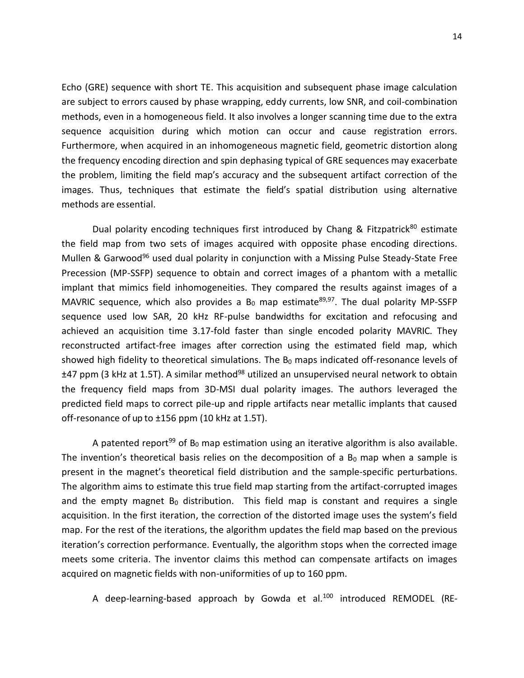Echo (GRE) sequence with short TE. This acquisition and subsequent phase image calculation are subject to errors caused by phase wrapping, eddy currents, low SNR, and coil-combination methods, even in a homogeneous field. It also involves a longer scanning time due to the extra sequence acquisition during which motion can occur and cause registration errors. Furthermore, when acquired in an inhomogeneous magnetic field, geometric distortion along the frequency encoding direction and spin dephasing typical of GRE sequences may exacerbate the problem, limiting the field map's accuracy and the subsequent artifact correction of the images. Thus, techniques that estimate the field's spatial distribution using alternative methods are essential.

Dual polarity encoding techniques first introduced by Chang & Fitzpatrick<sup>80</sup> estimate the field map from two sets of images acquired with opposite phase encoding directions. Mullen & Garwood<sup>96</sup> used dual polarity in conjunction with a Missing Pulse Steady-State Free Precession (MP-SSFP) sequence to obtain and correct images of a phantom with a metallic implant that mimics field inhomogeneities. They compared the results against images of a MAVRIC sequence, which also provides a  $B_0$  map estimate<sup>89,97</sup>. The dual polarity MP-SSFP sequence used low SAR, 20 kHz RF-pulse bandwidths for excitation and refocusing and achieved an acquisition time 3.17-fold faster than single encoded polarity MAVRIC. They reconstructed artifact-free images after correction using the estimated field map, which showed high fidelity to theoretical simulations. The  $B_0$  maps indicated off-resonance levels of  $±47$  ppm (3 kHz at 1.5T). A similar method<sup>98</sup> utilized an unsupervised neural network to obtain the frequency field maps from 3D-MSI dual polarity images. The authors leveraged the predicted field maps to correct pile-up and ripple artifacts near metallic implants that caused off-resonance of up to ±156 ppm (10 kHz at 1.5T).

A patented report<sup>99</sup> of B<sub>0</sub> map estimation using an iterative algorithm is also available. The invention's theoretical basis relies on the decomposition of a  $B_0$  map when a sample is present in the magnet's theoretical field distribution and the sample-specific perturbations. The algorithm aims to estimate this true field map starting from the artifact-corrupted images and the empty magnet  $B_0$  distribution. This field map is constant and requires a single acquisition. In the first iteration, the correction of the distorted image uses the system's field map. For the rest of the iterations, the algorithm updates the field map based on the previous iteration's correction performance. Eventually, the algorithm stops when the corrected image meets some criteria. The inventor claims this method can compensate artifacts on images acquired on magnetic fields with non-uniformities of up to 160 ppm.

A deep-learning-based approach by Gowda et al.<sup>100</sup> introduced REMODEL (RE-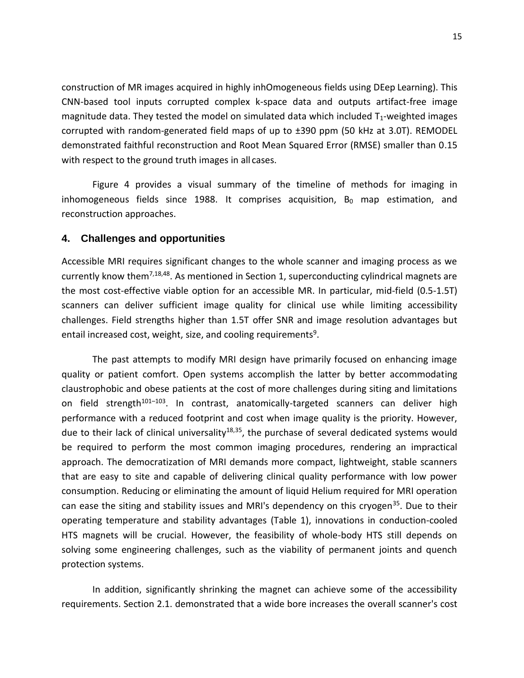construction of MR images acquired in highly inhOmogeneous fields using DEep Learning). This CNN-based tool inputs corrupted complex k-space data and outputs artifact-free image magnitude data. They tested the model on simulated data which included  $T_1$ -weighted images corrupted with random-generated field maps of up to ±390 ppm (50 kHz at 3.0T). REMODEL demonstrated faithful reconstruction and Root Mean Squared Error (RMSE) smaller than 0.15 with respect to the ground truth images in all cases.

Figure 4 provides a visual summary of the timeline of methods for imaging in inhomogeneous fields since 1988. It comprises acquisition,  $B_0$  map estimation, and reconstruction approaches.

### **4. Challenges and opportunities**

Accessible MRI requires significant changes to the whole scanner and imaging process as we currently know them<sup>7,18,48</sup>. As mentioned in Section 1, superconducting cylindrical magnets are the most cost-effective viable option for an accessible MR. In particular, mid-field (0.5-1.5T) scanners can deliver sufficient image quality for clinical use while limiting accessibility challenges. Field strengths higher than 1.5T offer SNR and image resolution advantages but entail increased cost, weight, size, and cooling requirements<sup>9</sup>.

The past attempts to modify MRI design have primarily focused on enhancing image quality or patient comfort. Open systems accomplish the latter by better accommodating claustrophobic and obese patients at the cost of more challenges during siting and limitations on field strength<sup>101–103</sup>. In contrast, anatomically-targeted scanners can deliver high performance with a reduced footprint and cost when image quality is the priority. However, due to their lack of clinical universality<sup>18,35</sup>, the purchase of several dedicated systems would be required to perform the most common imaging procedures, rendering an impractical approach. The democratization of MRI demands more compact, lightweight, stable scanners that are easy to site and capable of delivering clinical quality performance with low power consumption. Reducing or eliminating the amount of liquid Helium required for MRI operation can ease the siting and stability issues and MRI's dependency on this cryogen<sup>35</sup>. Due to their operating temperature and stability advantages (Table 1), innovations in conduction-cooled HTS magnets will be crucial. However, the feasibility of whole-body HTS still depends on solving some engineering challenges, such as the viability of permanent joints and quench protection systems.

In addition, significantly shrinking the magnet can achieve some of the accessibility requirements. Section 2.1. demonstrated that a wide bore increases the overall scanner's cost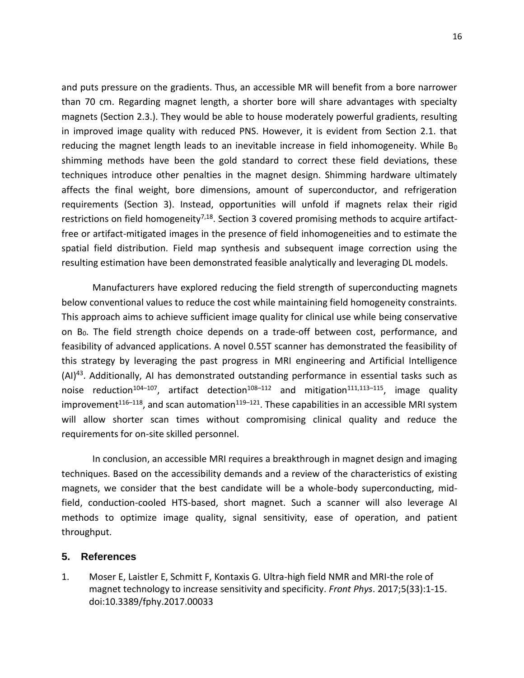and puts pressure on the gradients. Thus, an accessible MR will benefit from a bore narrower than 70 cm. Regarding magnet length, a shorter bore will share advantages with specialty magnets (Section 2.3.). They would be able to house moderately powerful gradients, resulting in improved image quality with reduced PNS. However, it is evident from Section 2.1. that reducing the magnet length leads to an inevitable increase in field inhomogeneity. While  $B_0$ shimming methods have been the gold standard to correct these field deviations, these techniques introduce other penalties in the magnet design. Shimming hardware ultimately affects the final weight, bore dimensions, amount of superconductor, and refrigeration requirements (Section 3). Instead, opportunities will unfold if magnets relax their rigid restrictions on field homogeneity<sup>7,18</sup>. Section 3 covered promising methods to acquire artifactfree or artifact-mitigated images in the presence of field inhomogeneities and to estimate the spatial field distribution. Field map synthesis and subsequent image correction using the resulting estimation have been demonstrated feasible analytically and leveraging DL models.

Manufacturers have explored reducing the field strength of superconducting magnets below conventional values to reduce the cost while maintaining field homogeneity constraints. This approach aims to achieve sufficient image quality for clinical use while being conservative on  $B_0$ . The field strength choice depends on a trade-off between cost, performance, and feasibility of advanced applications. A novel 0.55T scanner has demonstrated the feasibility of this strategy by leveraging the past progress in MRI engineering and Artificial Intelligence (AI)<sup>43</sup>. Additionally, AI has demonstrated outstanding performance in essential tasks such as noise reduction<sup>104–107</sup>, artifact detection<sup>108–112</sup> and mitigation<sup>111,113–115</sup>, image quality improvement<sup>116–118</sup>, and scan automation<sup>119–121</sup>. These capabilities in an accessible MRI system will allow shorter scan times without compromising clinical quality and reduce the requirements for on-site skilled personnel.

In conclusion, an accessible MRI requires a breakthrough in magnet design and imaging techniques. Based on the accessibility demands and a review of the characteristics of existing magnets, we consider that the best candidate will be a whole-body superconducting, midfield, conduction-cooled HTS-based, short magnet. Such a scanner will also leverage AI methods to optimize image quality, signal sensitivity, ease of operation, and patient throughput.

#### **5. References**

1. Moser E, Laistler E, Schmitt F, Kontaxis G. Ultra-high field NMR and MRI-the role of magnet technology to increase sensitivity and specificity. *Front Phys*. 2017;5(33):1-15. doi:10.3389/fphy.2017.00033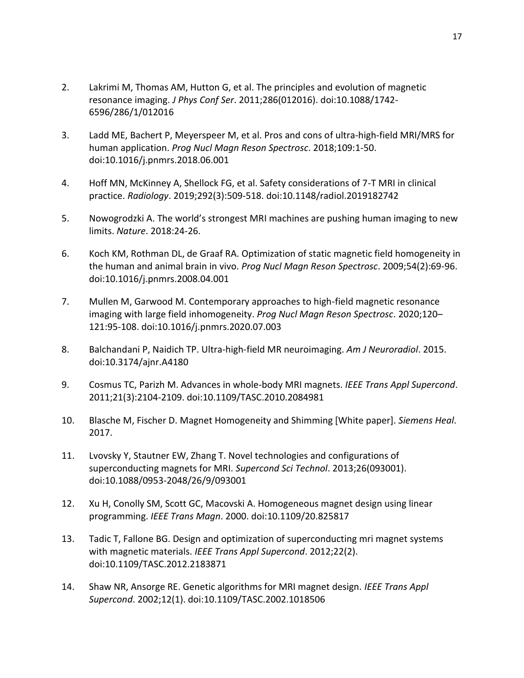- 2. Lakrimi M, Thomas AM, Hutton G, et al. The principles and evolution of magnetic resonance imaging. *J Phys Conf Ser*. 2011;286(012016). doi:10.1088/1742- 6596/286/1/012016
- 3. Ladd ME, Bachert P, Meyerspeer M, et al. Pros and cons of ultra-high-field MRI/MRS for human application. *Prog Nucl Magn Reson Spectrosc*. 2018;109:1-50. doi:10.1016/j.pnmrs.2018.06.001
- 4. Hoff MN, McKinney A, Shellock FG, et al. Safety considerations of 7-T MRI in clinical practice. *Radiology*. 2019;292(3):509-518. doi:10.1148/radiol.2019182742
- 5. Nowogrodzki A. The world's strongest MRI machines are pushing human imaging to new limits. *Nature*. 2018:24-26.
- 6. Koch KM, Rothman DL, de Graaf RA. Optimization of static magnetic field homogeneity in the human and animal brain in vivo. *Prog Nucl Magn Reson Spectrosc*. 2009;54(2):69-96. doi:10.1016/j.pnmrs.2008.04.001
- 7. Mullen M, Garwood M. Contemporary approaches to high-field magnetic resonance imaging with large field inhomogeneity. *Prog Nucl Magn Reson Spectrosc*. 2020;120– 121:95-108. doi:10.1016/j.pnmrs.2020.07.003
- 8. Balchandani P, Naidich TP. Ultra-high-field MR neuroimaging. *Am J Neuroradiol*. 2015. doi:10.3174/ajnr.A4180
- 9. Cosmus TC, Parizh M. Advances in whole-body MRI magnets. *IEEE Trans Appl Supercond*. 2011;21(3):2104-2109. doi:10.1109/TASC.2010.2084981
- 10. Blasche M, Fischer D. Magnet Homogeneity and Shimming [White paper]. *Siemens Heal*. 2017.
- 11. Lvovsky Y, Stautner EW, Zhang T. Novel technologies and configurations of superconducting magnets for MRI. *Supercond Sci Technol*. 2013;26(093001). doi:10.1088/0953-2048/26/9/093001
- 12. Xu H, Conolly SM, Scott GC, Macovski A. Homogeneous magnet design using linear programming. *IEEE Trans Magn*. 2000. doi:10.1109/20.825817
- 13. Tadic T, Fallone BG. Design and optimization of superconducting mri magnet systems with magnetic materials. *IEEE Trans Appl Supercond*. 2012;22(2). doi:10.1109/TASC.2012.2183871
- 14. Shaw NR, Ansorge RE. Genetic algorithms for MRI magnet design. *IEEE Trans Appl Supercond*. 2002;12(1). doi:10.1109/TASC.2002.1018506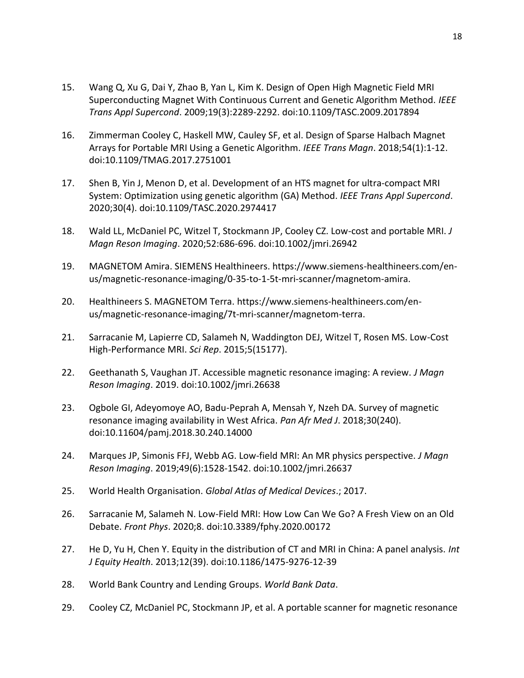- 15. Wang Q, Xu G, Dai Y, Zhao B, Yan L, Kim K. Design of Open High Magnetic Field MRI Superconducting Magnet With Continuous Current and Genetic Algorithm Method. *IEEE Trans Appl Supercond*. 2009;19(3):2289-2292. doi:10.1109/TASC.2009.2017894
- 16. Zimmerman Cooley C, Haskell MW, Cauley SF, et al. Design of Sparse Halbach Magnet Arrays for Portable MRI Using a Genetic Algorithm. *IEEE Trans Magn*. 2018;54(1):1-12. doi:10.1109/TMAG.2017.2751001
- 17. Shen B, Yin J, Menon D, et al. Development of an HTS magnet for ultra-compact MRI System: Optimization using genetic algorithm (GA) Method. *IEEE Trans Appl Supercond*. 2020;30(4). doi:10.1109/TASC.2020.2974417
- 18. Wald LL, McDaniel PC, Witzel T, Stockmann JP, Cooley CZ. Low-cost and portable MRI. *J Magn Reson Imaging*. 2020;52:686-696. doi:10.1002/jmri.26942
- 19. MAGNETOM Amira. SIEMENS Healthineers. https://www.siemens-healthineers.com/enus/magnetic-resonance-imaging/0-35-to-1-5t-mri-scanner/magnetom-amira.
- 20. Healthineers S. MAGNETOM Terra. https://www.siemens-healthineers.com/enus/magnetic-resonance-imaging/7t-mri-scanner/magnetom-terra.
- 21. Sarracanie M, Lapierre CD, Salameh N, Waddington DEJ, Witzel T, Rosen MS. Low-Cost High-Performance MRI. *Sci Rep*. 2015;5(15177).
- 22. Geethanath S, Vaughan JT. Accessible magnetic resonance imaging: A review. *J Magn Reson Imaging*. 2019. doi:10.1002/jmri.26638
- 23. Ogbole GI, Adeyomoye AO, Badu-Peprah A, Mensah Y, Nzeh DA. Survey of magnetic resonance imaging availability in West Africa. *Pan Afr Med J*. 2018;30(240). doi:10.11604/pamj.2018.30.240.14000
- 24. Marques JP, Simonis FFJ, Webb AG. Low-field MRI: An MR physics perspective. *J Magn Reson Imaging*. 2019;49(6):1528-1542. doi:10.1002/jmri.26637
- 25. World Health Organisation. *Global Atlas of Medical Devices*.; 2017.
- 26. Sarracanie M, Salameh N. Low-Field MRI: How Low Can We Go? A Fresh View on an Old Debate. *Front Phys*. 2020;8. doi:10.3389/fphy.2020.00172
- 27. He D, Yu H, Chen Y. Equity in the distribution of CT and MRI in China: A panel analysis. *Int J Equity Health*. 2013;12(39). doi:10.1186/1475-9276-12-39
- 28. World Bank Country and Lending Groups. *World Bank Data*.
- 29. Cooley CZ, McDaniel PC, Stockmann JP, et al. A portable scanner for magnetic resonance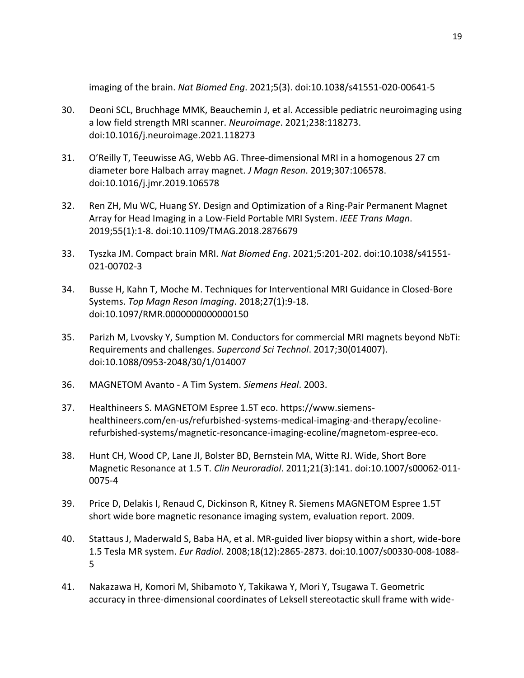imaging of the brain. *Nat Biomed Eng*. 2021;5(3). doi:10.1038/s41551-020-00641-5

- 30. Deoni SCL, Bruchhage MMK, Beauchemin J, et al. Accessible pediatric neuroimaging using a low field strength MRI scanner. *Neuroimage*. 2021;238:118273. doi:10.1016/j.neuroimage.2021.118273
- 31. O'Reilly T, Teeuwisse AG, Webb AG. Three-dimensional MRI in a homogenous 27 cm diameter bore Halbach array magnet. *J Magn Reson*. 2019;307:106578. doi:10.1016/j.jmr.2019.106578
- 32. Ren ZH, Mu WC, Huang SY. Design and Optimization of a Ring-Pair Permanent Magnet Array for Head Imaging in a Low-Field Portable MRI System. *IEEE Trans Magn*. 2019;55(1):1-8. doi:10.1109/TMAG.2018.2876679
- 33. Tyszka JM. Compact brain MRI. *Nat Biomed Eng*. 2021;5:201-202. doi:10.1038/s41551- 021-00702-3
- 34. Busse H, Kahn T, Moche M. Techniques for Interventional MRI Guidance in Closed-Bore Systems. *Top Magn Reson Imaging*. 2018;27(1):9-18. doi:10.1097/RMR.0000000000000150
- 35. Parizh M, Lvovsky Y, Sumption M. Conductors for commercial MRI magnets beyond NbTi: Requirements and challenges. *Supercond Sci Technol*. 2017;30(014007). doi:10.1088/0953-2048/30/1/014007
- 36. MAGNETOM Avanto A Tim System. *Siemens Heal*. 2003.
- 37. Healthineers S. MAGNETOM Espree 1.5T eco. https://www.siemenshealthineers.com/en-us/refurbished-systems-medical-imaging-and-therapy/ecolinerefurbished-systems/magnetic-resoncance-imaging-ecoline/magnetom-espree-eco.
- 38. Hunt CH, Wood CP, Lane JI, Bolster BD, Bernstein MA, Witte RJ. Wide, Short Bore Magnetic Resonance at 1.5 T. *Clin Neuroradiol*. 2011;21(3):141. doi:10.1007/s00062-011- 0075-4
- 39. Price D, Delakis I, Renaud C, Dickinson R, Kitney R. Siemens MAGNETOM Espree 1.5T short wide bore magnetic resonance imaging system, evaluation report. 2009.
- 40. Stattaus J, Maderwald S, Baba HA, et al. MR-guided liver biopsy within a short, wide-bore 1.5 Tesla MR system. *Eur Radiol*. 2008;18(12):2865-2873. doi:10.1007/s00330-008-1088- 5
- 41. Nakazawa H, Komori M, Shibamoto Y, Takikawa Y, Mori Y, Tsugawa T. Geometric accuracy in three-dimensional coordinates of Leksell stereotactic skull frame with wide-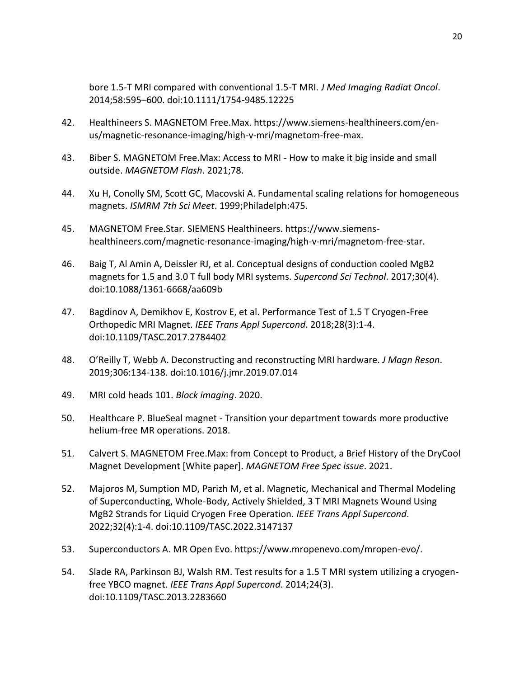bore 1.5-T MRI compared with conventional 1.5-T MRI. *J Med Imaging Radiat Oncol*. 2014;58:595–600. doi:10.1111/1754-9485.12225

- 42. Healthineers S. MAGNETOM Free.Max. https://www.siemens-healthineers.com/enus/magnetic-resonance-imaging/high-v-mri/magnetom-free-max.
- 43. Biber S. MAGNETOM Free.Max: Access to MRI How to make it big inside and small outside. *MAGNETOM Flash*. 2021;78.
- 44. Xu H, Conolly SM, Scott GC, Macovski A. Fundamental scaling relations for homogeneous magnets. *ISMRM 7th Sci Meet*. 1999;Philadelph:475.
- 45. MAGNETOM Free.Star. SIEMENS Healthineers. https://www.siemenshealthineers.com/magnetic-resonance-imaging/high-v-mri/magnetom-free-star.
- 46. Baig T, Al Amin A, Deissler RJ, et al. Conceptual designs of conduction cooled MgB2 magnets for 1.5 and 3.0 T full body MRI systems. *Supercond Sci Technol*. 2017;30(4). doi:10.1088/1361-6668/aa609b
- 47. Bagdinov A, Demikhov E, Kostrov E, et al. Performance Test of 1.5 T Cryogen-Free Orthopedic MRI Magnet. *IEEE Trans Appl Supercond*. 2018;28(3):1-4. doi:10.1109/TASC.2017.2784402
- 48. O'Reilly T, Webb A. Deconstructing and reconstructing MRI hardware. *J Magn Reson*. 2019;306:134-138. doi:10.1016/j.jmr.2019.07.014
- 49. MRI cold heads 101. *Block imaging*. 2020.
- 50. Healthcare P. BlueSeal magnet Transition your department towards more productive helium-free MR operations. 2018.
- 51. Calvert S. MAGNETOM Free.Max: from Concept to Product, a Brief History of the DryCool Magnet Development [White paper]. *MAGNETOM Free Spec issue*. 2021.
- 52. Majoros M, Sumption MD, Parizh M, et al. Magnetic, Mechanical and Thermal Modeling of Superconducting, Whole-Body, Actively Shielded, 3 T MRI Magnets Wound Using MgB2 Strands for Liquid Cryogen Free Operation. *IEEE Trans Appl Supercond*. 2022;32(4):1-4. doi:10.1109/TASC.2022.3147137
- 53. Superconductors A. MR Open Evo. https://www.mropenevo.com/mropen-evo/.
- 54. Slade RA, Parkinson BJ, Walsh RM. Test results for a 1.5 T MRI system utilizing a cryogenfree YBCO magnet. *IEEE Trans Appl Supercond*. 2014;24(3). doi:10.1109/TASC.2013.2283660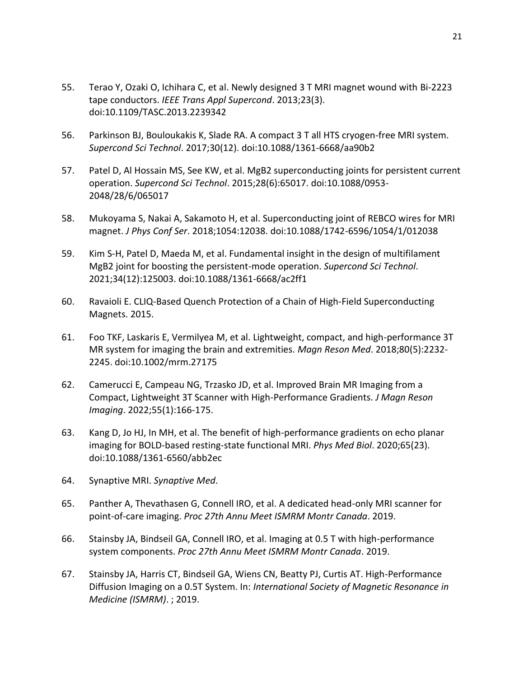- 55. Terao Y, Ozaki O, Ichihara C, et al. Newly designed 3 T MRI magnet wound with Bi-2223 tape conductors. *IEEE Trans Appl Supercond*. 2013;23(3). doi:10.1109/TASC.2013.2239342
- 56. Parkinson BJ, Bouloukakis K, Slade RA. A compact 3 T all HTS cryogen-free MRI system. *Supercond Sci Technol*. 2017;30(12). doi:10.1088/1361-6668/aa90b2
- 57. Patel D, Al Hossain MS, See KW, et al. MgB2 superconducting joints for persistent current operation. *Supercond Sci Technol*. 2015;28(6):65017. doi:10.1088/0953- 2048/28/6/065017
- 58. Mukoyama S, Nakai A, Sakamoto H, et al. Superconducting joint of REBCO wires for MRI magnet. *J Phys Conf Ser*. 2018;1054:12038. doi:10.1088/1742-6596/1054/1/012038
- 59. Kim S-H, Patel D, Maeda M, et al. Fundamental insight in the design of multifilament MgB2 joint for boosting the persistent-mode operation. *Supercond Sci Technol*. 2021;34(12):125003. doi:10.1088/1361-6668/ac2ff1
- 60. Ravaioli E. CLIQ-Based Quench Protection of a Chain of High-Field Superconducting Magnets. 2015.
- 61. Foo TKF, Laskaris E, Vermilyea M, et al. Lightweight, compact, and high-performance 3T MR system for imaging the brain and extremities. *Magn Reson Med*. 2018;80(5):2232- 2245. doi:10.1002/mrm.27175
- 62. Camerucci E, Campeau NG, Trzasko JD, et al. Improved Brain MR Imaging from a Compact, Lightweight 3T Scanner with High-Performance Gradients. *J Magn Reson Imaging*. 2022;55(1):166-175.
- 63. Kang D, Jo HJ, In MH, et al. The benefit of high-performance gradients on echo planar imaging for BOLD-based resting-state functional MRI. *Phys Med Biol*. 2020;65(23). doi:10.1088/1361-6560/abb2ec
- 64. Synaptive MRI. *Synaptive Med*.
- 65. Panther A, Thevathasen G, Connell IRO, et al. A dedicated head-only MRI scanner for point-of-care imaging. *Proc 27th Annu Meet ISMRM Montr Canada*. 2019.
- 66. Stainsby JA, Bindseil GA, Connell IRO, et al. Imaging at 0.5 T with high-performance system components. *Proc 27th Annu Meet ISMRM Montr Canada*. 2019.
- 67. Stainsby JA, Harris CT, Bindseil GA, Wiens CN, Beatty PJ, Curtis AT. High-Performance Diffusion Imaging on a 0.5T System. In: *International Society of Magnetic Resonance in Medicine (ISMRM)*. ; 2019.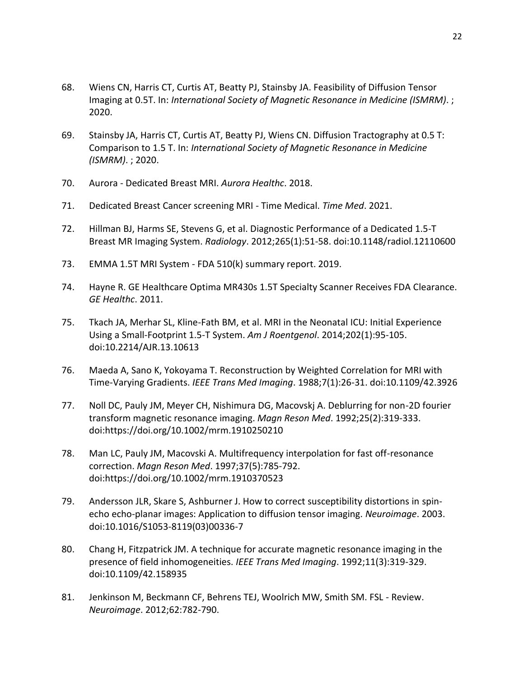- 68. Wiens CN, Harris CT, Curtis AT, Beatty PJ, Stainsby JA. Feasibility of Diffusion Tensor Imaging at 0.5T. In: *International Society of Magnetic Resonance in Medicine (ISMRM)*. ; 2020.
- 69. Stainsby JA, Harris CT, Curtis AT, Beatty PJ, Wiens CN. Diffusion Tractography at 0.5 T: Comparison to 1.5 T. In: *International Society of Magnetic Resonance in Medicine (ISMRM)*. ; 2020.
- 70. Aurora Dedicated Breast MRI. *Aurora Healthc*. 2018.
- 71. Dedicated Breast Cancer screening MRI Time Medical. *Time Med*. 2021.
- 72. Hillman BJ, Harms SE, Stevens G, et al. Diagnostic Performance of a Dedicated 1.5-T Breast MR Imaging System. *Radiology*. 2012;265(1):51-58. doi:10.1148/radiol.12110600
- 73. EMMA 1.5T MRI System FDA 510(k) summary report. 2019.
- 74. Hayne R. GE Healthcare Optima MR430s 1.5T Specialty Scanner Receives FDA Clearance. *GE Healthc*. 2011.
- 75. Tkach JA, Merhar SL, Kline-Fath BM, et al. MRI in the Neonatal ICU: Initial Experience Using a Small-Footprint 1.5-T System. *Am J Roentgenol*. 2014;202(1):95-105. doi:10.2214/AJR.13.10613
- 76. Maeda A, Sano K, Yokoyama T. Reconstruction by Weighted Correlation for MRI with Time-Varying Gradients. *IEEE Trans Med Imaging*. 1988;7(1):26-31. doi:10.1109/42.3926
- 77. Noll DC, Pauly JM, Meyer CH, Nishimura DG, Macovskj A. Deblurring for non-2D fourier transform magnetic resonance imaging. *Magn Reson Med*. 1992;25(2):319-333. doi:https://doi.org/10.1002/mrm.1910250210
- 78. Man LC, Pauly JM, Macovski A. Multifrequency interpolation for fast off-resonance correction. *Magn Reson Med*. 1997;37(5):785-792. doi:https://doi.org/10.1002/mrm.1910370523
- 79. Andersson JLR, Skare S, Ashburner J. How to correct susceptibility distortions in spinecho echo-planar images: Application to diffusion tensor imaging. *Neuroimage*. 2003. doi:10.1016/S1053-8119(03)00336-7
- 80. Chang H, Fitzpatrick JM. A technique for accurate magnetic resonance imaging in the presence of field inhomogeneities. *IEEE Trans Med Imaging*. 1992;11(3):319-329. doi:10.1109/42.158935
- 81. Jenkinson M, Beckmann CF, Behrens TEJ, Woolrich MW, Smith SM. FSL Review. *Neuroimage*. 2012;62:782-790.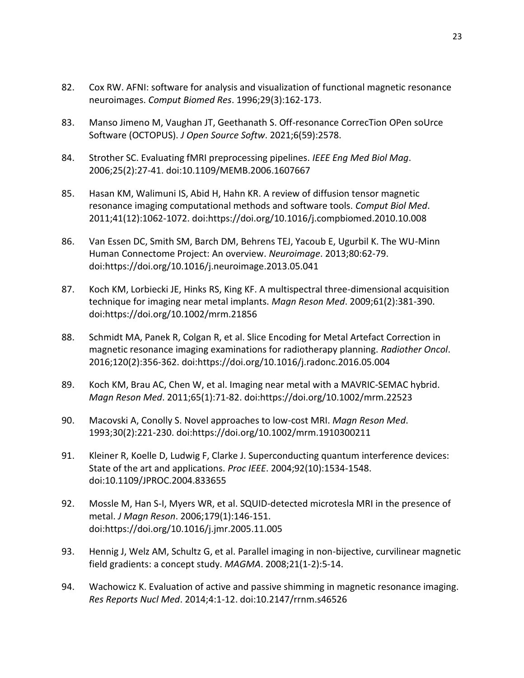- 82. Cox RW. AFNI: software for analysis and visualization of functional magnetic resonance neuroimages. *Comput Biomed Res*. 1996;29(3):162-173.
- 83. Manso Jimeno M, Vaughan JT, Geethanath S. Off-resonance CorrecTion OPen soUrce Software (OCTOPUS). *J Open Source Softw*. 2021;6(59):2578.
- 84. Strother SC. Evaluating fMRI preprocessing pipelines. *IEEE Eng Med Biol Mag*. 2006;25(2):27-41. doi:10.1109/MEMB.2006.1607667
- 85. Hasan KM, Walimuni IS, Abid H, Hahn KR. A review of diffusion tensor magnetic resonance imaging computational methods and software tools. *Comput Biol Med*. 2011;41(12):1062-1072. doi:https://doi.org/10.1016/j.compbiomed.2010.10.008
- 86. Van Essen DC, Smith SM, Barch DM, Behrens TEJ, Yacoub E, Ugurbil K. The WU-Minn Human Connectome Project: An overview. *Neuroimage*. 2013;80:62-79. doi:https://doi.org/10.1016/j.neuroimage.2013.05.041
- 87. Koch KM, Lorbiecki JE, Hinks RS, King KF. A multispectral three-dimensional acquisition technique for imaging near metal implants. *Magn Reson Med*. 2009;61(2):381-390. doi:https://doi.org/10.1002/mrm.21856
- 88. Schmidt MA, Panek R, Colgan R, et al. Slice Encoding for Metal Artefact Correction in magnetic resonance imaging examinations for radiotherapy planning. *Radiother Oncol*. 2016;120(2):356-362. doi:https://doi.org/10.1016/j.radonc.2016.05.004
- 89. Koch KM, Brau AC, Chen W, et al. Imaging near metal with a MAVRIC-SEMAC hybrid. *Magn Reson Med*. 2011;65(1):71-82. doi:https://doi.org/10.1002/mrm.22523
- 90. Macovski A, Conolly S. Novel approaches to low-cost MRI. *Magn Reson Med*. 1993;30(2):221-230. doi:https://doi.org/10.1002/mrm.1910300211
- 91. Kleiner R, Koelle D, Ludwig F, Clarke J. Superconducting quantum interference devices: State of the art and applications. *Proc IEEE*. 2004;92(10):1534-1548. doi:10.1109/JPROC.2004.833655
- 92. Mossle M, Han S-I, Myers WR, et al. SQUID-detected microtesla MRI in the presence of metal. *J Magn Reson*. 2006;179(1):146-151. doi:https://doi.org/10.1016/j.jmr.2005.11.005
- 93. Hennig J, Welz AM, Schultz G, et al. Parallel imaging in non-bijective, curvilinear magnetic field gradients: a concept study. *MAGMA*. 2008;21(1-2):5-14.
- 94. Wachowicz K. Evaluation of active and passive shimming in magnetic resonance imaging. *Res Reports Nucl Med*. 2014;4:1-12. doi:10.2147/rrnm.s46526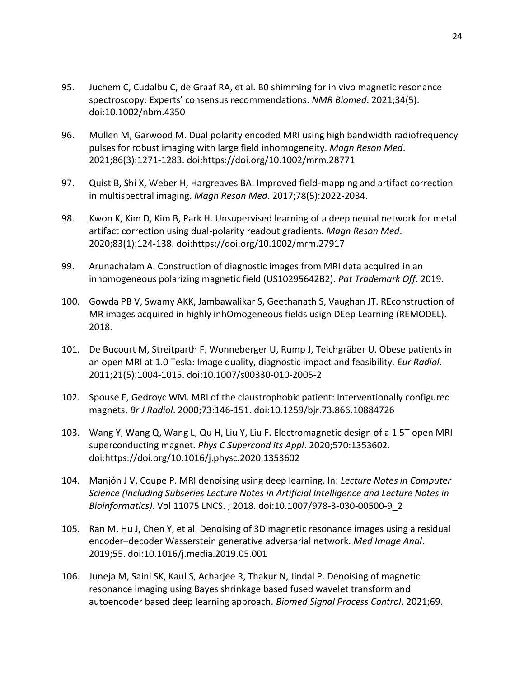- 95. Juchem C, Cudalbu C, de Graaf RA, et al. B0 shimming for in vivo magnetic resonance spectroscopy: Experts' consensus recommendations. *NMR Biomed*. 2021;34(5). doi:10.1002/nbm.4350
- 96. Mullen M, Garwood M. Dual polarity encoded MRI using high bandwidth radiofrequency pulses for robust imaging with large field inhomogeneity. *Magn Reson Med*. 2021;86(3):1271-1283. doi:https://doi.org/10.1002/mrm.28771
- 97. Quist B, Shi X, Weber H, Hargreaves BA. Improved field-mapping and artifact correction in multispectral imaging. *Magn Reson Med*. 2017;78(5):2022-2034.
- 98. Kwon K, Kim D, Kim B, Park H. Unsupervised learning of a deep neural network for metal artifact correction using dual-polarity readout gradients. *Magn Reson Med*. 2020;83(1):124-138. doi:https://doi.org/10.1002/mrm.27917
- 99. Arunachalam A. Construction of diagnostic images from MRI data acquired in an inhomogeneous polarizing magnetic field (US10295642B2). *Pat Trademark Off*. 2019.
- 100. Gowda PB V, Swamy AKK, Jambawalikar S, Geethanath S, Vaughan JT. REconstruction of MR images acquired in highly inhOmogeneous fields usign DEep Learning (REMODEL). 2018.
- 101. De Bucourt M, Streitparth F, Wonneberger U, Rump J, Teichgräber U. Obese patients in an open MRI at 1.0 Tesla: Image quality, diagnostic impact and feasibility. *Eur Radiol*. 2011;21(5):1004-1015. doi:10.1007/s00330-010-2005-2
- 102. Spouse E, Gedroyc WM. MRI of the claustrophobic patient: Interventionally configured magnets. *Br J Radiol*. 2000;73:146-151. doi:10.1259/bjr.73.866.10884726
- 103. Wang Y, Wang Q, Wang L, Qu H, Liu Y, Liu F. Electromagnetic design of a 1.5T open MRI superconducting magnet. *Phys C Supercond its Appl*. 2020;570:1353602. doi:https://doi.org/10.1016/j.physc.2020.1353602
- 104. Manjón J V, Coupe P. MRI denoising using deep learning. In: *Lecture Notes in Computer Science (Including Subseries Lecture Notes in Artificial Intelligence and Lecture Notes in Bioinformatics)*. Vol 11075 LNCS. ; 2018. doi:10.1007/978-3-030-00500-9\_2
- 105. Ran M, Hu J, Chen Y, et al. Denoising of 3D magnetic resonance images using a residual encoder–decoder Wasserstein generative adversarial network. *Med Image Anal*. 2019;55. doi:10.1016/j.media.2019.05.001
- 106. Juneja M, Saini SK, Kaul S, Acharjee R, Thakur N, Jindal P. Denoising of magnetic resonance imaging using Bayes shrinkage based fused wavelet transform and autoencoder based deep learning approach. *Biomed Signal Process Control*. 2021;69.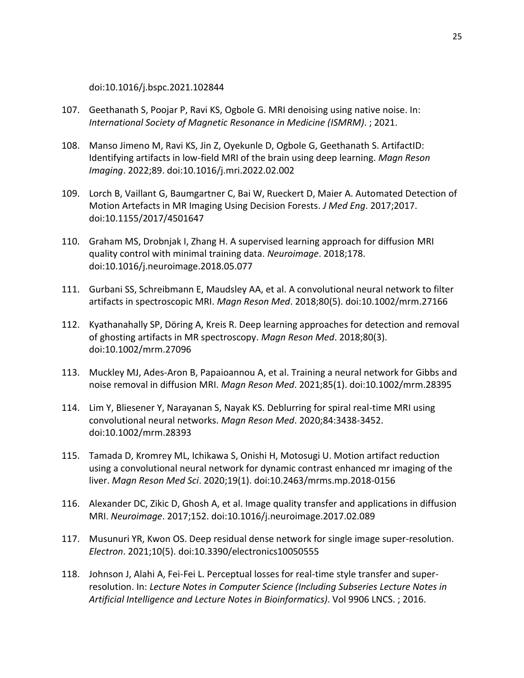doi:10.1016/j.bspc.2021.102844

- 107. Geethanath S, Poojar P, Ravi KS, Ogbole G. MRI denoising using native noise. In: *International Society of Magnetic Resonance in Medicine (ISMRM)*. ; 2021.
- 108. Manso Jimeno M, Ravi KS, Jin Z, Oyekunle D, Ogbole G, Geethanath S. ArtifactID: Identifying artifacts in low-field MRI of the brain using deep learning. *Magn Reson Imaging*. 2022;89. doi:10.1016/j.mri.2022.02.002
- 109. Lorch B, Vaillant G, Baumgartner C, Bai W, Rueckert D, Maier A. Automated Detection of Motion Artefacts in MR Imaging Using Decision Forests. *J Med Eng*. 2017;2017. doi:10.1155/2017/4501647
- 110. Graham MS, Drobnjak I, Zhang H. A supervised learning approach for diffusion MRI quality control with minimal training data. *Neuroimage*. 2018;178. doi:10.1016/j.neuroimage.2018.05.077
- 111. Gurbani SS, Schreibmann E, Maudsley AA, et al. A convolutional neural network to filter artifacts in spectroscopic MRI. *Magn Reson Med*. 2018;80(5). doi:10.1002/mrm.27166
- 112. Kyathanahally SP, Döring A, Kreis R. Deep learning approaches for detection and removal of ghosting artifacts in MR spectroscopy. *Magn Reson Med*. 2018;80(3). doi:10.1002/mrm.27096
- 113. Muckley MJ, Ades-Aron B, Papaioannou A, et al. Training a neural network for Gibbs and noise removal in diffusion MRI. *Magn Reson Med*. 2021;85(1). doi:10.1002/mrm.28395
- 114. Lim Y, Bliesener Y, Narayanan S, Nayak KS. Deblurring for spiral real-time MRI using convolutional neural networks. *Magn Reson Med*. 2020;84:3438-3452. doi:10.1002/mrm.28393
- 115. Tamada D, Kromrey ML, Ichikawa S, Onishi H, Motosugi U. Motion artifact reduction using a convolutional neural network for dynamic contrast enhanced mr imaging of the liver. *Magn Reson Med Sci*. 2020;19(1). doi:10.2463/mrms.mp.2018-0156
- 116. Alexander DC, Zikic D, Ghosh A, et al. Image quality transfer and applications in diffusion MRI. *Neuroimage*. 2017;152. doi:10.1016/j.neuroimage.2017.02.089
- 117. Musunuri YR, Kwon OS. Deep residual dense network for single image super-resolution. *Electron*. 2021;10(5). doi:10.3390/electronics10050555
- 118. Johnson J, Alahi A, Fei-Fei L. Perceptual losses for real-time style transfer and superresolution. In: *Lecture Notes in Computer Science (Including Subseries Lecture Notes in Artificial Intelligence and Lecture Notes in Bioinformatics)*. Vol 9906 LNCS. ; 2016.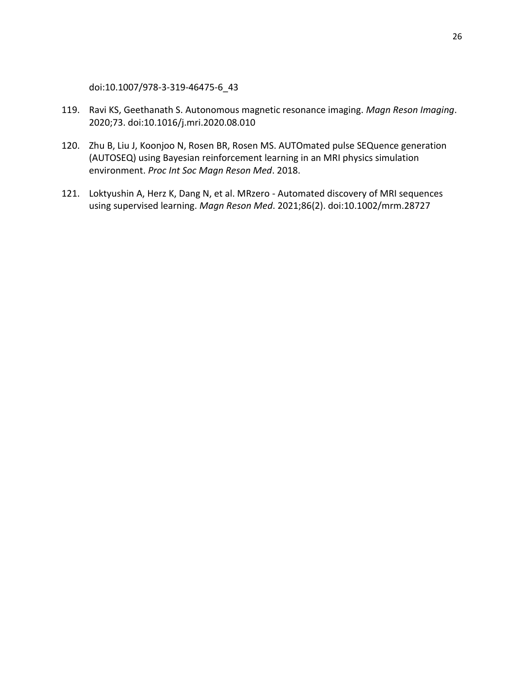doi:10.1007/978-3-319-46475-6\_43

- 119. Ravi KS, Geethanath S. Autonomous magnetic resonance imaging. *Magn Reson Imaging*. 2020;73. doi:10.1016/j.mri.2020.08.010
- 120. Zhu B, Liu J, Koonjoo N, Rosen BR, Rosen MS. AUTOmated pulse SEQuence generation (AUTOSEQ) using Bayesian reinforcement learning in an MRI physics simulation environment. *Proc Int Soc Magn Reson Med*. 2018.
- 121. Loktyushin A, Herz K, Dang N, et al. MRzero Automated discovery of MRI sequences using supervised learning. *Magn Reson Med*. 2021;86(2). doi:10.1002/mrm.28727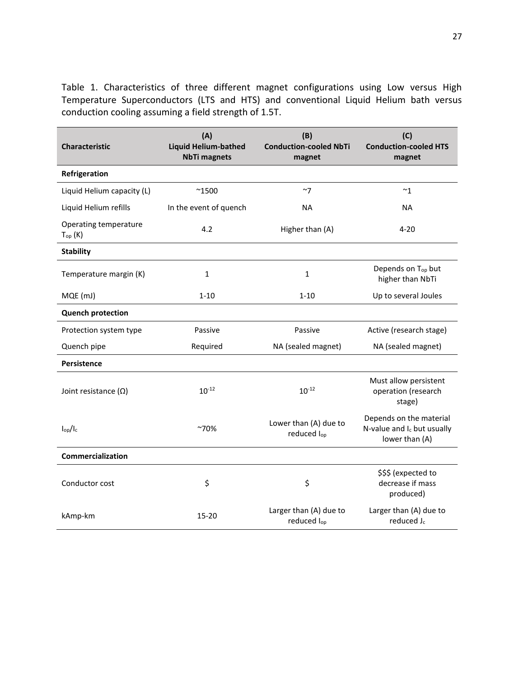Table 1. Characteristics of three different magnet configurations using Low versus High Temperature Superconductors (LTS and HTS) and conventional Liquid Helium bath versus conduction cooling assuming a field strength of 1.5T.

| <b>Characteristic</b>                 | (A)<br><b>Liquid Helium-bathed</b><br><b>NbTi magnets</b> | (B)<br><b>Conduction-cooled NbTi</b><br>magnet | (C)<br><b>Conduction-cooled HTS</b><br>magnet                           |  |
|---------------------------------------|-----------------------------------------------------------|------------------------------------------------|-------------------------------------------------------------------------|--|
| Refrigeration                         |                                                           |                                                |                                                                         |  |
| Liquid Helium capacity (L)            | $^{\sim}$ 1500                                            | ~1                                             | $^{\thicksim}1$                                                         |  |
| Liquid Helium refills                 | In the event of quench                                    | <b>NA</b>                                      | <b>NA</b>                                                               |  |
| Operating temperature<br>$T_{op}$ (K) | 4.2                                                       | Higher than (A)                                | $4 - 20$                                                                |  |
| <b>Stability</b>                      |                                                           |                                                |                                                                         |  |
| Temperature margin (K)                | 1                                                         | $\mathbf{1}$                                   | Depends on T <sub>op</sub> but<br>higher than NbTi                      |  |
| MQE (mJ)                              | $1 - 10$                                                  | $1 - 10$                                       | Up to several Joules                                                    |  |
| <b>Quench protection</b>              |                                                           |                                                |                                                                         |  |
| Protection system type                | Passive                                                   | Passive                                        | Active (research stage)                                                 |  |
| Quench pipe                           | Required                                                  | NA (sealed magnet)                             | NA (sealed magnet)                                                      |  |
| <b>Persistence</b>                    |                                                           |                                                |                                                                         |  |
| Joint resistance $(\Omega)$           | $10^{-12}$                                                | $10^{-12}$                                     | Must allow persistent<br>operation (research<br>stage)                  |  |
| $I_{op}/I_{c}$                        | $~70\%$                                                   | Lower than (A) due to<br>reduced lop           | Depends on the material<br>N-value and Ic but usually<br>lower than (A) |  |
| Commercialization                     |                                                           |                                                |                                                                         |  |
| Conductor cost                        | \$                                                        | \$                                             | \$\$\$ (expected to<br>decrease if mass<br>produced)                    |  |
| kAmp-km                               | 15-20                                                     | Larger than (A) due to<br>reduced lop          | Larger than (A) due to<br>reduced J <sub>c</sub>                        |  |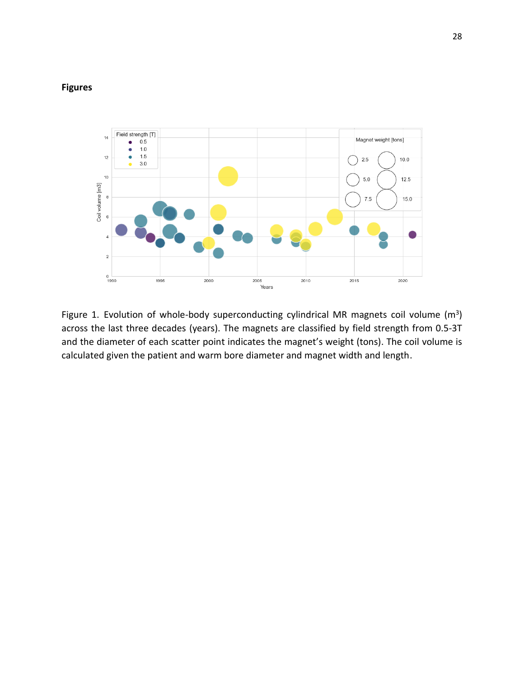## **Figures**



Figure 1. Evolution of whole-body superconducting cylindrical MR magnets coil volume  $(m^3)$ across the last three decades (years). The magnets are classified by field strength from 0.5-3T and the diameter of each scatter point indicates the magnet's weight (tons). The coil volume is calculated given the patient and warm bore diameter and magnet width and length.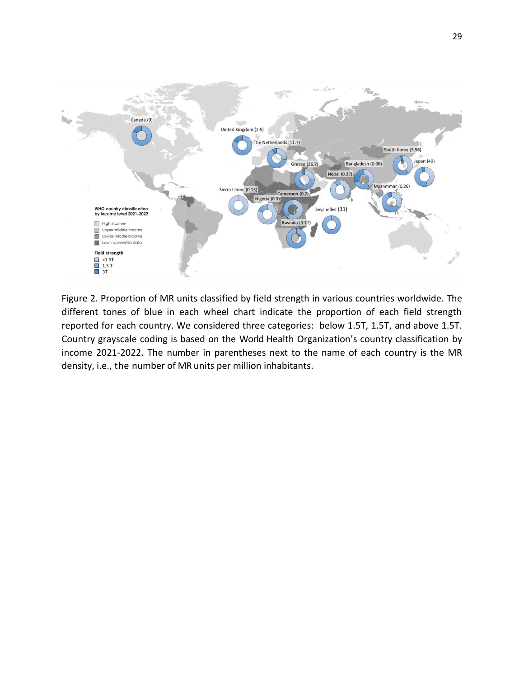

Figure 2. Proportion of MR units classified by field strength in various countries worldwide. The different tones of blue in each wheel chart indicate the proportion of each field strength reported for each country. We considered three categories: below 1.5T, 1.5T, and above 1.5T. Country grayscale coding is based on the World Health Organization's country classification by income 2021-2022. The number in parentheses next to the name of each country is the MR density, i.e., the number of MR units per million inhabitants.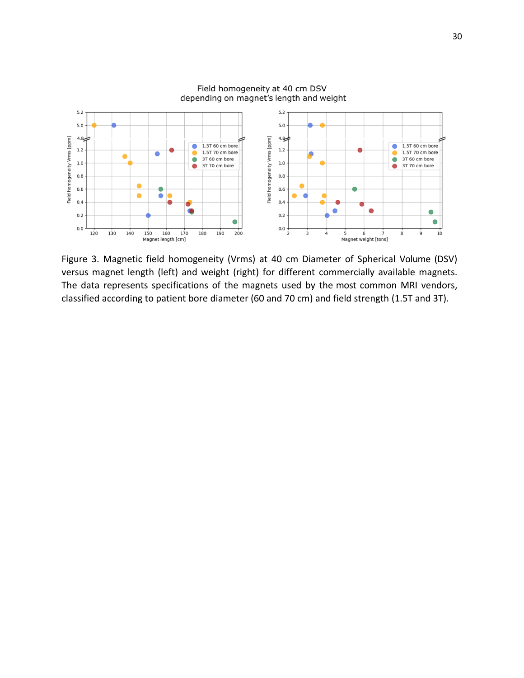

Field homogeneity at 40 cm DSV depending on magnet's length and weight

Figure 3. Magnetic field homogeneity (Vrms) at 40 cm Diameter of Spherical Volume (DSV) versus magnet length (left) and weight (right) for different commercially available magnets. The data represents specifications of the magnets used by the most common MRI vendors, classified according to patient bore diameter (60 and 70 cm) and field strength (1.5T and 3T).